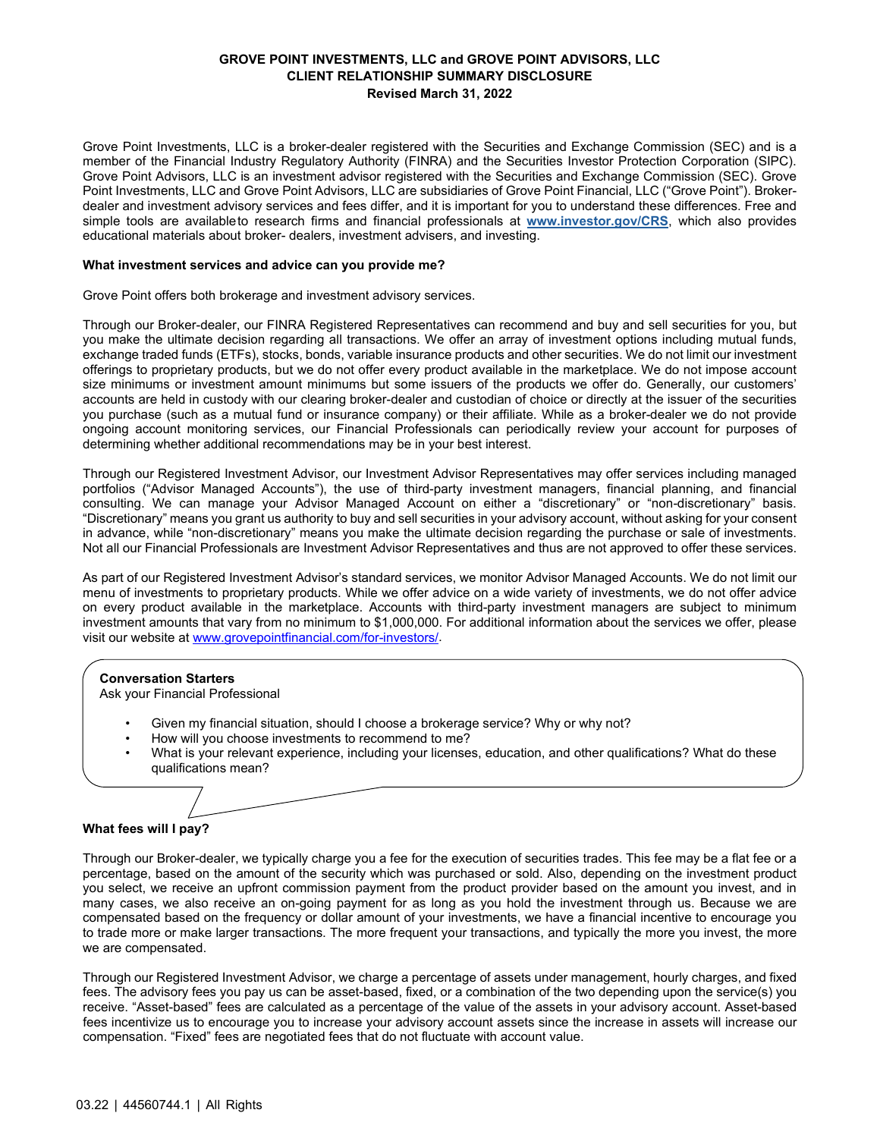# **GROVE POINT INVESTMENTS, LLC and GROVE POINT ADVISORS, LLC CLIENT RELATIONSHIP SUMMARY DISCLOSURE Revised March 31, 2022**

Grove Point Investments, LLC is a broker-dealer registered with the Securities and Exchange Commission (SEC) and is a member of the Financial Industry Regulatory Authority (FINRA) and the Securities Investor Protection Corporation (SIPC). Grove Point Advisors, LLC is an investment advisor registered with the Securities and Exchange Commission (SEC). Grove Point Investments, LLC and Grove Point Advisors, LLC are subsidiaries of Grove Point Financial, LLC ("Grove Point"). Brokerdealer and investment advisory services and fees differ, and it is important for you to understand these differences. Free and simple tools are availableto research firms and financial professionals at **[www.investor.gov/CRS](http://www.investor.gov/CRS)**, which also provides educational materials about broker- dealers, investment advisers, and investing.

### **What investment services and advice can you provide me?**

Grove Point offers both brokerage and investment advisory services.

Through our Broker-dealer, our FINRA Registered Representatives can recommend and buy and sell securities for you, but you make the ultimate decision regarding all transactions. We offer an array of investment options including mutual funds, exchange traded funds (ETFs), stocks, bonds, variable insurance products and other securities. We do not limit our investment offerings to proprietary products, but we do not offer every product available in the marketplace. We do not impose account size minimums or investment amount minimums but some issuers of the products we offer do. Generally, our customers' accounts are held in custody with our clearing broker-dealer and custodian of choice or directly at the issuer of the securities you purchase (such as a mutual fund or insurance company) or their affiliate. While as a broker-dealer we do not provide ongoing account monitoring services, our Financial Professionals can periodically review your account for purposes of determining whether additional recommendations may be in your best interest.

Through our Registered Investment Advisor, our Investment Advisor Representatives may offer services including managed portfolios ("Advisor Managed Accounts"), the use of third-party investment managers, financial planning, and financial consulting. We can manage your Advisor Managed Account on either a "discretionary" or "non-discretionary" basis. "Discretionary" means you grant us authority to buy and sell securities in your advisory account, without asking for your consent in advance, while "non-discretionary" means you make the ultimate decision regarding the purchase or sale of investments. Not all our Financial Professionals are Investment Advisor Representatives and thus are not approved to offer these services.

As part of our Registered Investment Advisor's standard services, we monitor Advisor Managed Accounts. We do not limit our menu of investments to proprietary products. While we offer advice on a wide variety of investments, we do not offer advice on every product available in the marketplace. Accounts with third-party investment managers are subject to minimum investment amounts that vary from no minimum to \$1,000,000. For additional information about the services we offer, please visit our website at [www.grovepointfinancial.com/for-investors/.](http://www.grovepointfinancial.com/for-investors/)

## **Conversation Starters**

Ask your Financial Professional

- Given my financial situation, should I choose a brokerage service? Why or why not?
- How will you choose investments to recommend to me?
- What is your relevant experience, including your licenses, education, and other qualifications? What do these qualifications mean?

**What fees will I pay?**

Through our Broker-dealer, we typically charge you a fee for the execution of securities trades. This fee may be a flat fee or a percentage, based on the amount of the security which was purchased or sold. Also, depending on the investment product you select, we receive an upfront commission payment from the product provider based on the amount you invest, and in many cases, we also receive an on-going payment for as long as you hold the investment through us. Because we are compensated based on the frequency or dollar amount of your investments, we have a financial incentive to encourage you to trade more or make larger transactions. The more frequent your transactions, and typically the more you invest, the more we are compensated.

Through our Registered Investment Advisor, we charge a percentage of assets under management, hourly charges, and fixed fees. The advisory fees you pay us can be asset-based, fixed, or a combination of the two depending upon the service(s) you receive. "Asset-based" fees are calculated as a percentage of the value of the assets in your advisory account. Asset-based fees incentivize us to encourage you to increase your advisory account assets since the increase in assets will increase our compensation. "Fixed" fees are negotiated fees that do not fluctuate with account value.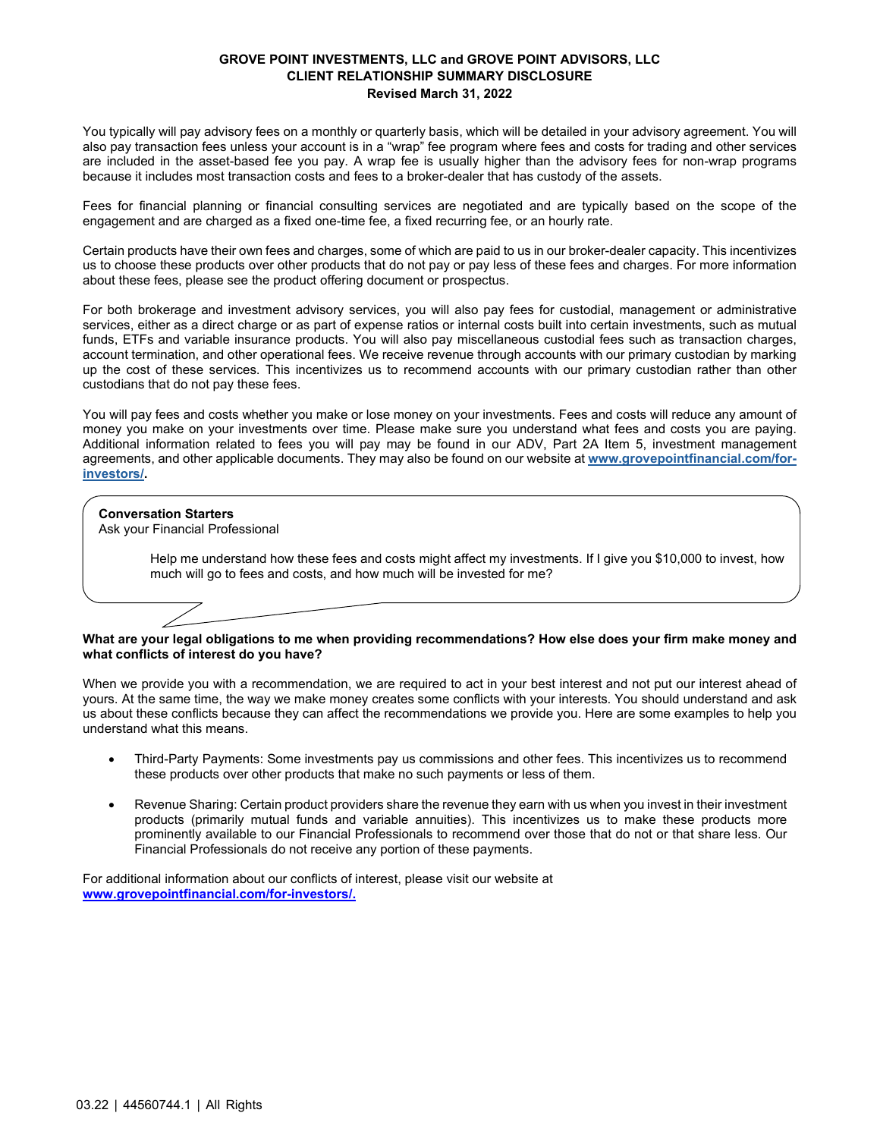## **GROVE POINT INVESTMENTS, LLC and GROVE POINT ADVISORS, LLC CLIENT RELATIONSHIP SUMMARY DISCLOSURE Revised March 31, 2022**

You typically will pay advisory fees on a monthly or quarterly basis, which will be detailed in your advisory agreement. You will also pay transaction fees unless your account is in a "wrap" fee program where fees and costs for trading and other services are included in the asset-based fee you pay. A wrap fee is usually higher than the advisory fees for non-wrap programs because it includes most transaction costs and fees to a broker-dealer that has custody of the assets.

Fees for financial planning or financial consulting services are negotiated and are typically based on the scope of the engagement and are charged as a fixed one-time fee, a fixed recurring fee, or an hourly rate.

Certain products have their own fees and charges, some of which are paid to us in our broker-dealer capacity. This incentivizes us to choose these products over other products that do not pay or pay less of these fees and charges. For more information about these fees, please see the product offering document or prospectus.

For both brokerage and investment advisory services, you will also pay fees for custodial, management or administrative services, either as a direct charge or as part of expense ratios or internal costs built into certain investments, such as mutual funds, ETFs and variable insurance products. You will also pay miscellaneous custodial fees such as transaction charges, account termination, and other operational fees. We receive revenue through accounts with our primary custodian by marking up the cost of these services. This incentivizes us to recommend accounts with our primary custodian rather than other custodians that do not pay these fees.

You will pay fees and costs whether you make or lose money on your investments. Fees and costs will reduce any amount of money you make on your investments over time. Please make sure you understand what fees and costs you are paying. Additional information related to fees you will pay may be found in our ADV, Part 2A Item 5, investment management agreements, and other applicable documents. They may also be found on our website at **[www.grovepointfinancial.com/for](http://www.grovepointfinancial.com/for-investors/)[investors/.](http://www.grovepointfinancial.com/for-investors/)**

# **Conversation Starters**

Ask your Financial Professional

Help me understand how these fees and costs might affect my investments. If I give you \$10,000 to invest, how much will go to fees and costs, and how much will be invested for me?

### What are your legal obligations to me when providing recommendations? How else does your firm make money and **what conflicts of interest do you have?**

When we provide you with a recommendation, we are required to act in your best interest and not put our interest ahead of yours. At the same time, the way we make money creates some conflicts with your interests. You should understand and ask us about these conflicts because they can affect the recommendations we provide you. Here are some examples to help you understand what this means.

- Third-Party Payments: Some investments pay us commissions and other fees. This incentivizes us to recommend these products over other products that make no such payments or less of them.
- Revenue Sharing: Certain product providers share the revenue they earn with us when you invest in their investment products (primarily mutual funds and variable annuities). This incentivizes us to make these products more prominently available to our Financial Professionals to recommend over those that do not or that share less. Our Financial Professionals do not receive any portion of these payments.

For additional information about our conflicts of interest, please visit our website at **[www.grovepointfinancial.com/for-investors/.](http://www.grovepointfinancial.com/for-investors/)**